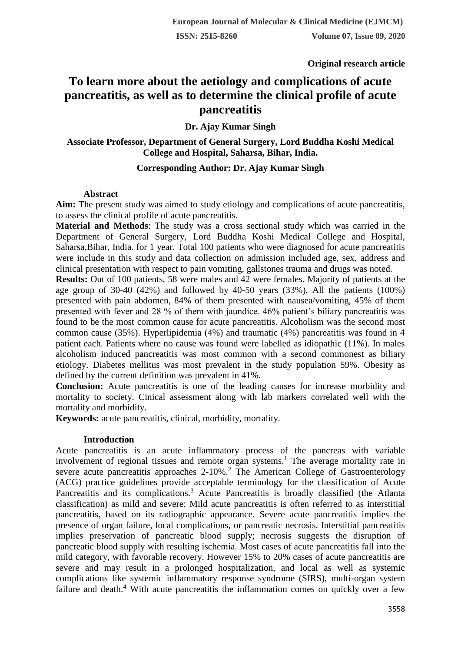**Original research article** 

# **To learn more about the aetiology and complications of acute pancreatitis, as well as to determine the clinical profile of acute pancreatitis**

**Dr. Ajay Kumar Singh**

# **Associate Professor, Department of General Surgery, Lord Buddha Koshi Medical College and Hospital, Saharsa, Bihar, India.**

# **Corresponding Author: Dr. Ajay Kumar Singh**

# **Abstract**

Aim: The present study was aimed to study etiology and complications of acute pancreatitis, to assess the clinical profile of acute pancreatitis.

**Material and Methods**: The study was a cross sectional study which was carried in the Department of General Surgery, Lord Buddha Koshi Medical College and Hospital, Saharsa,Bihar, India. for 1 year. Total 100 patients who were diagnosed for acute pancreatitis were include in this study and data collection on admission included age, sex, address and clinical presentation with respect to pain vomiting, gallstones trauma and drugs was noted.

**Results:** Out of 100 patients, 58 were males and 42 were females. Majority of patients at the age group of 30-40 (42%) and followed by 40-50 years (33%). All the patients (100%) presented with pain abdomen, 84% of them presented with nausea/vomiting, 45% of them presented with fever and 28 % of them with jaundice. 46% patient's biliary pancreatitis was found to be the most common cause for acute pancreatitis. Alcoholism was the second most common cause (35%). Hyperlipidemia (4%) and traumatic (4%) pancreatitis was found in 4 patient each. Patients where no cause was found were labelled as idiopathic (11%). In males alcoholism induced pancreatitis was most common with a second commonest as biliary etiology. Diabetes mellitus was most prevalent in the study population 59%. Obesity as defined by the current definition was prevalent in 41%.

**Conclusion:** Acute pancreatitis is one of the leading causes for increase morbidity and mortality to society. Cinical assessment along with lab markers correlated well with the mortality and morbidity.

**Keywords:** acute pancreatitis, clinical, morbidity, mortality.

# **Introduction**

Acute pancreatitis is an acute inflammatory process of the pancreas with variable involvement of regional tissues and remote organ systems.<sup>1</sup> The average mortality rate in severe acute pancreatitis approaches 2-10%.<sup>2</sup> The American College of Gastroenterology (ACG) practice guidelines provide acceptable terminology for the classification of Acute Pancreatitis and its complications.<sup>3</sup> Acute Pancreatitis is broadly classified (the Atlanta classification) as mild and severe: Mild acute pancreatitis is often referred to as interstitial pancreatitis, based on its radiographic appearance. Severe acute pancreatitis implies the presence of organ failure, local complications, or pancreatic necrosis. Interstitial pancreatitis implies preservation of pancreatic blood supply; necrosis suggests the disruption of pancreatic blood supply with resulting ischemia. Most cases of acute pancreatitis fall into the mild category, with favorable recovery. However 15% to 20% cases of acute pancreatitis are severe and may result in a prolonged hospitalization, and local as well as systemic complications like systemic inflammatory response syndrome (SIRS), multi-organ system failure and death.<sup>4</sup> With acute pancreatitis the inflammation comes on quickly over a few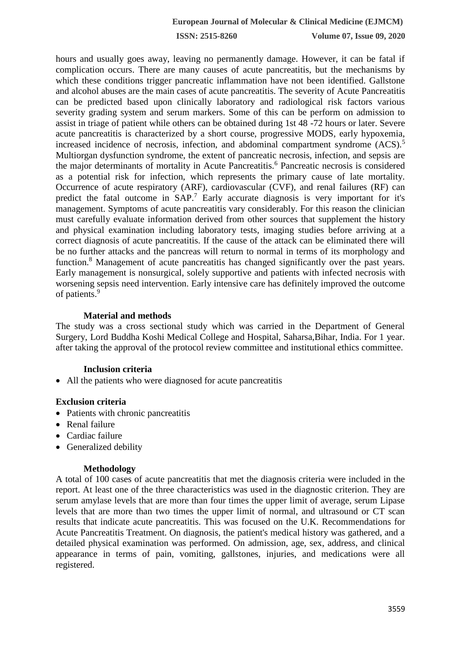**ISSN: 2515-8260 Volume 07, Issue 09, 2020**

hours and usually goes away, leaving no permanently damage. However, it can be fatal if complication occurs. There are many causes of acute pancreatitis, but the mechanisms by which these conditions trigger pancreatic inflammation have not been identified. Gallstone and alcohol abuses are the main cases of acute pancreatitis. The severity of Acute Pancreatitis can be predicted based upon clinically laboratory and radiological risk factors various severity grading system and serum markers. Some of this can be perform on admission to assist in triage of patient while others can be obtained during 1st 48 -72 hours or later. Severe acute pancreatitis is characterized by a short course, progressive MODS, early hypoxemia, increased incidence of necrosis, infection, and abdominal compartment syndrome (ACS).<sup>5</sup> Multiorgan dysfunction syndrome, the extent of pancreatic necrosis, infection, and sepsis are the major determinants of mortality in Acute Pancreatitis.<sup>6</sup> Pancreatic necrosis is considered as a potential risk for infection, which represents the primary cause of late mortality. Occurrence of acute respiratory (ARF), cardiovascular (CVF), and renal failures (RF) can predict the fatal outcome in SAP.<sup>7</sup> Early accurate diagnosis is very important for it's management. Symptoms of acute pancreatitis vary considerably. For this reason the clinician must carefully evaluate information derived from other sources that supplement the history and physical examination including laboratory tests, imaging studies before arriving at a correct diagnosis of acute pancreatitis. If the cause of the attack can be eliminated there will be no further attacks and the pancreas will return to normal in terms of its morphology and function.<sup>8</sup> Management of acute pancreatitis has changed significantly over the past years. Early management is nonsurgical, solely supportive and patients with infected necrosis with worsening sepsis need intervention. Early intensive care has definitely improved the outcome of patients.<sup>9</sup>

## **Material and methods**

The study was a cross sectional study which was carried in the Department of General Surgery, Lord Buddha Koshi Medical College and Hospital, Saharsa,Bihar, India. For 1 year. after taking the approval of the protocol review committee and institutional ethics committee.

#### **Inclusion criteria**

All the patients who were diagnosed for acute pancreatitis

## **Exclusion criteria**

- Patients with chronic pancreatitis
- Renal failure
- Cardiac failure
- Generalized debility

#### **Methodology**

A total of 100 cases of acute pancreatitis that met the diagnosis criteria were included in the report. At least one of the three characteristics was used in the diagnostic criterion. They are serum amylase levels that are more than four times the upper limit of average, serum Lipase levels that are more than two times the upper limit of normal, and ultrasound or CT scan results that indicate acute pancreatitis. This was focused on the U.K. Recommendations for Acute Pancreatitis Treatment. On diagnosis, the patient's medical history was gathered, and a detailed physical examination was performed. On admission, age, sex, address, and clinical appearance in terms of pain, vomiting, gallstones, injuries, and medications were all registered.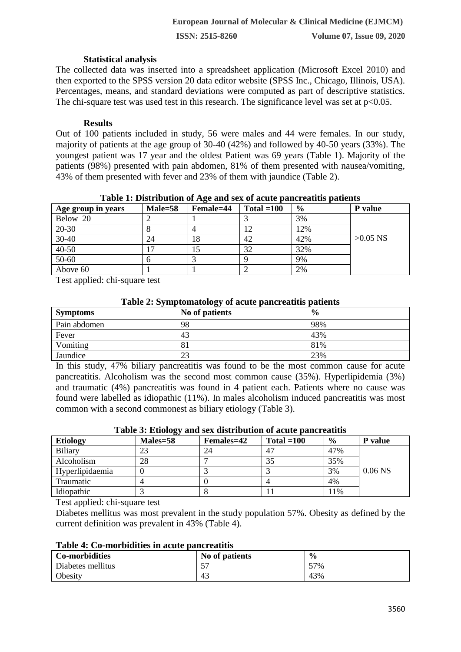### **Statistical analysis**

The collected data was inserted into a spreadsheet application (Microsoft Excel 2010) and then exported to the SPSS version 20 data editor website (SPSS Inc., Chicago, Illinois, USA). Percentages, means, and standard deviations were computed as part of descriptive statistics. The chi-square test was used test in this research. The significance level was set at  $p<0.05$ .

### **Results**

Out of 100 patients included in study, 56 were males and 44 were females. In our study, majority of patients at the age group of 30-40 (42%) and followed by 40-50 years (33%). The youngest patient was 17 year and the oldest Patient was 69 years (Table 1). Majority of the patients (98%) presented with pain abdomen, 81% of them presented with nausea/vomiting, 43% of them presented with fever and 23% of them with jaundice (Table 2).

| Age group in years | $Male = 58$ | Female=44 | Total $=100$ | $\frac{0}{0}$ | <b>P</b> value |
|--------------------|-------------|-----------|--------------|---------------|----------------|
| Below 20           |             |           |              | 3%            |                |
| 20-30              |             |           |              | 12%           |                |
| $30 - 40$          | 24          | 18        | 42           | 42%           | $>0.05$ NS     |
| 40-50              |             | 15        | 32           | 32%           |                |
| 50-60              |             |           |              | 9%            |                |
| Above 60           |             |           |              | 2%            |                |

#### **Table 1: Distribution of Age and sex of acute pancreatitis patients**

Test applied: chi-square test

## **Table 2: Symptomatology of acute pancreatitis patients**

| <b>Symptoms</b> | No of patients | $\frac{0}{0}$ |
|-----------------|----------------|---------------|
| Pain abdomen    | 98             | 98%           |
| Fever           | 43             | 43%           |
| Vomiting        | 81             | 81%           |
| Jaundice        | 23             | 23%           |

In this study, 47% biliary pancreatitis was found to be the most common cause for acute pancreatitis. Alcoholism was the second most common cause (35%). Hyperlipidemia (3%) and traumatic (4%) pancreatitis was found in 4 patient each. Patients where no cause was found were labelled as idiopathic (11%). In males alcoholism induced pancreatitis was most common with a second commonest as biliary etiology (Table 3).

| <b>Etiology</b> | Males=58 | <b>Females=42</b> | Total $=100$ | $\frac{6}{9}$ | <b>P</b> value |
|-----------------|----------|-------------------|--------------|---------------|----------------|
| Biliary         | 23       | 24                | $4^{\circ}$  | 47%           |                |
| Alcoholism      | 28       |                   |              | 35%           |                |
| Hyperlipidaemia |          |                   |              | 3%            | $0.06$ NS      |
| Traumatic       |          |                   |              | 4%            |                |
| Idiopathic      |          |                   |              | 11%           |                |

Test applied: chi-square test

Diabetes mellitus was most prevalent in the study population 57%. Obesity as defined by the current definition was prevalent in 43% (Table 4).

#### **Table 4: Co-morbidities in acute pancreatitis**

| <b>Co-morbidities</b> | No of patients                 | $\frac{0}{0}$ |
|-----------------------|--------------------------------|---------------|
| Diabetes mellitus     | --<br>$\overline{\phantom{a}}$ | 57%           |
| Obesity               | 43                             | 43%           |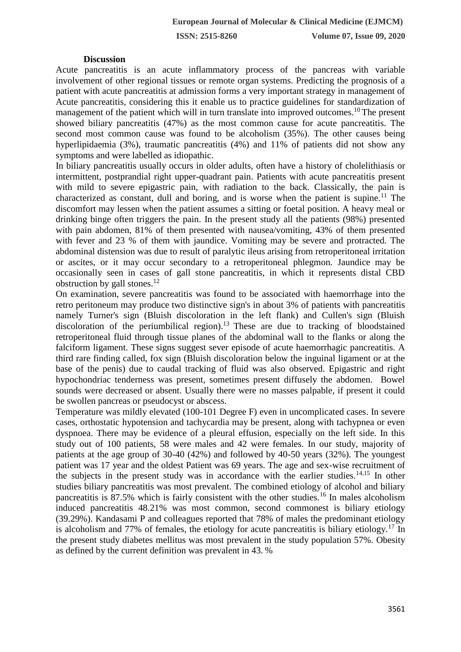**ISSN: 2515-8260 Volume 07, Issue 09, 2020**

#### **Discussion**

Acute pancreatitis is an acute inflammatory process of the pancreas with variable involvement of other regional tissues or remote organ systems. Predicting the prognosis of a patient with acute pancreatitis at admission forms a very important strategy in management of Acute pancreatitis, considering this it enable us to practice guidelines for standardization of management of the patient which will in turn translate into improved outcomes.<sup>10</sup> The present showed biliary pancreatitis (47%) as the most common cause for acute pancreatitis. The second most common cause was found to be alcoholism (35%). The other causes being hyperlipidaemia (3%), traumatic pancreatitis (4%) and 11% of patients did not show any symptoms and were labelled as idiopathic.

In biliary pancreatitis usually occurs in older adults, often have a history of cholelithiasis or intermittent, postprandial right upper-quadrant pain. Patients with acute pancreatitis present with mild to severe epigastric pain, with radiation to the back. Classically, the pain is characterized as constant, dull and boring, and is worse when the patient is supine.<sup>11</sup> The discomfort may lessen when the patient assumes a sitting or foetal position. A heavy meal or drinking binge often triggers the pain. In the present study all the patients (98%) presented with pain abdomen, 81% of them presented with nausea/vomiting, 43% of them presented with fever and 23 % of them with jaundice. Vomiting may be severe and protracted. The abdominal distension was due to result of paralytic ileus arising from retroperitoneal irritation or ascites, or it may occur secondary to a retroperitoneal phlegmon. Jaundice may be occasionally seen in cases of gall stone pancreatitis, in which it represents distal CBD obstruction by gall stones. $12$ 

On examination, severe pancreatitis was found to be associated with haemorrhage into the retro peritoneum may produce two distinctive sign's in about 3% of patients with pancreatitis namely Turner's sign (Bluish discoloration in the left flank) and Cullen's sign (Bluish discoloration of the periumbilical region).<sup>13</sup> These are due to tracking of bloodstained retroperitoneal fluid through tissue planes of the abdominal wall to the flanks or along the falciform ligament. These signs suggest sever episode of acute haemorrhagic pancreatitis. A third rare finding called, fox sign (Bluish discoloration below the inguinal ligament or at the base of the penis) due to caudal tracking of fluid was also observed. Epigastric and right hypochondriac tenderness was present, sometimes present diffusely the abdomen. Bowel sounds were decreased or absent. Usually there were no masses palpable, if present it could be swollen pancreas or pseudocyst or abscess.

Temperature was mildly elevated (100-101 Degree F) even in uncomplicated cases. In severe cases, orthostatic hypotension and tachycardia may be present, along with tachypnea or even dyspnoea. There may be evidence of a pleural effusion, especially on the left side. In this study out of 100 patients, 58 were males and 42 were females. In our study, majority of patients at the age group of 30-40 (42%) and followed by 40-50 years (32%). The youngest patient was 17 year and the oldest Patient was 69 years. The age and sex-wise recruitment of the subjects in the present study was in accordance with the earlier studies.<sup>14,15</sup> In other studies biliary pancreatitis was most prevalent. The combined etiology of alcohol and biliary pancreatitis is 87.5% which is fairly consistent with the other studies.<sup>16</sup> In males alcoholism induced pancreatitis 48.21% was most common, second commonest is biliary etiology (39.29%). Kandasami P and colleagues reported that 78% of males the predominant etiology is alcoholism and 77% of females, the etiology for acute pancreatitis is biliary etiology.<sup>17</sup> In the present study diabetes mellitus was most prevalent in the study population 57%. Obesity as defined by the current definition was prevalent in 43. %